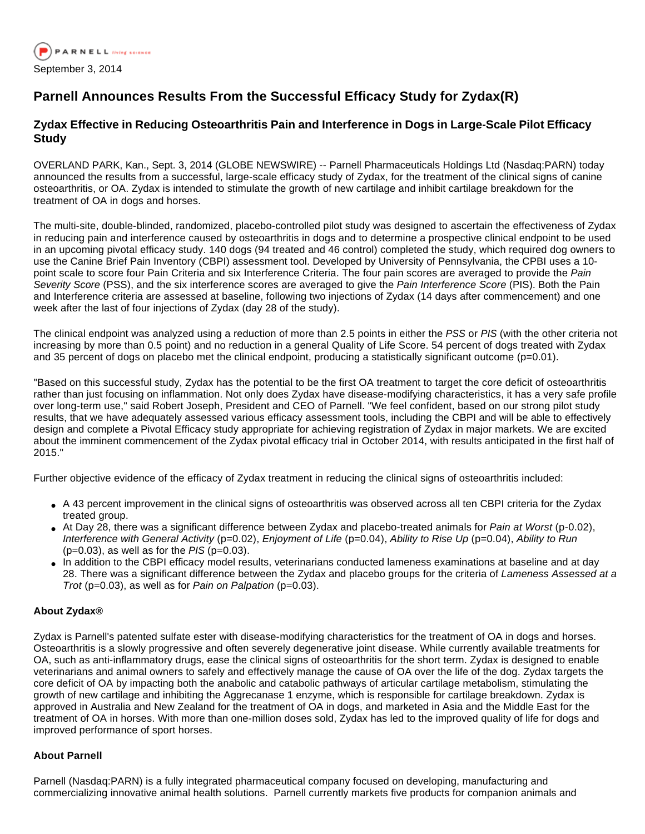

# **Parnell Announces Results From the Successful Efficacy Study for Zydax(R)**

## **Zydax Effective in Reducing Osteoarthritis Pain and Interference in Dogs in Large-Scale Pilot Efficacy Study**

OVERLAND PARK, Kan., Sept. 3, 2014 (GLOBE NEWSWIRE) -- Parnell Pharmaceuticals Holdings Ltd (Nasdaq:PARN) today announced the results from a successful, large-scale efficacy study of Zydax, for the treatment of the clinical signs of canine osteoarthritis, or OA. Zydax is intended to stimulate the growth of new cartilage and inhibit cartilage breakdown for the treatment of OA in dogs and horses.

The multi-site, double-blinded, randomized, placebo-controlled pilot study was designed to ascertain the effectiveness of Zydax in reducing pain and interference caused by osteoarthritis in dogs and to determine a prospective clinical endpoint to be used in an upcoming pivotal efficacy study. 140 dogs (94 treated and 46 control) completed the study, which required dog owners to use the Canine Brief Pain Inventory (CBPI) assessment tool. Developed by University of Pennsylvania, the CPBI uses a 10 point scale to score four Pain Criteria and six Interference Criteria. The four pain scores are averaged to provide the Pain Severity Score (PSS), and the six interference scores are averaged to give the Pain Interference Score (PIS). Both the Pain and Interference criteria are assessed at baseline, following two injections of Zydax (14 days after commencement) and one week after the last of four injections of Zydax (day 28 of the study).

The clinical endpoint was analyzed using a reduction of more than 2.5 points in either the PSS or PIS (with the other criteria not increasing by more than 0.5 point) and no reduction in a general Quality of Life Score. 54 percent of dogs treated with Zydax and 35 percent of dogs on placebo met the clinical endpoint, producing a statistically significant outcome  $(p=0.01)$ .

"Based on this successful study, Zydax has the potential to be the first OA treatment to target the core deficit of osteoarthritis rather than just focusing on inflammation. Not only does Zydax have disease-modifying characteristics, it has a very safe profile over long-term use," said Robert Joseph, President and CEO of Parnell. "We feel confident, based on our strong pilot study results, that we have adequately assessed various efficacy assessment tools, including the CBPI and will be able to effectively design and complete a Pivotal Efficacy study appropriate for achieving registration of Zydax in major markets. We are excited about the imminent commencement of the Zydax pivotal efficacy trial in October 2014, with results anticipated in the first half of 2015."

Further objective evidence of the efficacy of Zydax treatment in reducing the clinical signs of osteoarthritis included:

- A 43 percent improvement in the clinical signs of osteoarthritis was observed across all ten CBPI criteria for the Zydax treated group.
- At Day 28, there was a significant difference between Zydax and placebo-treated animals for Pain at Worst (p-0.02), Interference with General Activity (p=0.02), Enjoyment of Life (p=0.04), Ability to Rise Up (p=0.04), Ability to Run  $(p=0.03)$ , as well as for the PIS  $(p=0.03)$ .
- In addition to the CBPI efficacy model results, veterinarians conducted lameness examinations at baseline and at day 28. There was a significant difference between the Zydax and placebo groups for the criteria of Lameness Assessed at a Trot ( $p=0.03$ ), as well as for Pain on Palpation ( $p=0.03$ ).

### **About Zydax®**

Zydax is Parnell's patented sulfate ester with disease-modifying characteristics for the treatment of OA in dogs and horses. Osteoarthritis is a slowly progressive and often severely degenerative joint disease. While currently available treatments for OA, such as anti-inflammatory drugs, ease the clinical signs of osteoarthritis for the short term. Zydax is designed to enable veterinarians and animal owners to safely and effectively manage the cause of OA over the life of the dog. Zydax targets the core deficit of OA by impacting both the anabolic and catabolic pathways of articular cartilage metabolism, stimulating the growth of new cartilage and inhibiting the Aggrecanase 1 enzyme, which is responsible for cartilage breakdown. Zydax is approved in Australia and New Zealand for the treatment of OA in dogs, and marketed in Asia and the Middle East for the treatment of OA in horses. With more than one-million doses sold, Zydax has led to the improved quality of life for dogs and improved performance of sport horses.

### **About Parnell**

Parnell (Nasdaq:PARN) is a fully integrated pharmaceutical company focused on developing, manufacturing and commercializing innovative animal health solutions. Parnell currently markets five products for companion animals and